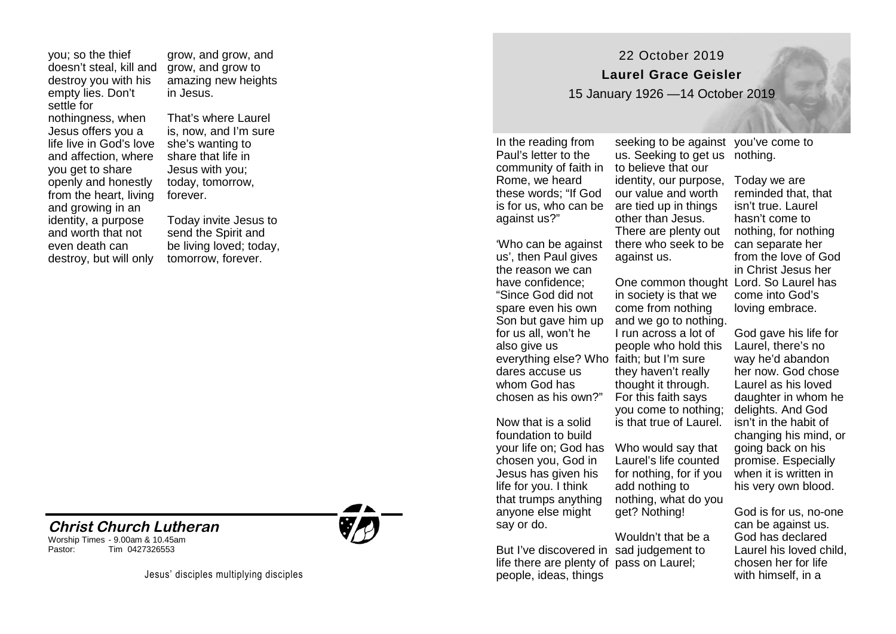you; so the thief doesn't steal, kill and destroy you with his empty lies. Don't settle for nothingness, when Jesus offers you a life live in God's love and affection, where you get to share openly and honestly from the heart, living and growing in an identity, a purpose and worth that not even death can destroy, but will only

grow, and grow, and grow, and grow to amazing new heights in Jesus.

That's where Laurel is, now, and I'm sure she's wanting to share that life in Jesus with you; today, tomorrow, forever.

Today invite Jesus to send the Spirit and be living loved; today, tomorrow, forever.

## **Christ Church Lutheran**  Worship Times - 9.00am & 10.45am Tim 0427326553

Jesus' disciples multiplying disciples



22 October 2019

**Laurel Grace Geisler** 

15 January 1926 —14 October 2019

our value and worth

other than Jesus. There are plenty out

in society is that we come from nothing and we go to nothing. I run across a lot of people who hold this

they haven't really thought it through. For this faith says you come to nothing; is that true of Laurel.

Laurel's life counted for nothing, for if you add nothing to nothing, what do you

get? Nothing!

against us.

In the reading from Paul's letter to the community of faith in to believe that our Rome, we heard these words; "If God is for us, who can be are tied up in things against us?"

'Who can be against us', then Paul gives the reason we can have confidence; "Since God did not spare even his own Son but gave him up for us all, won't he also give us everything else? Who faith; but I'm sure dares accuse us whom God has chosen as his own?"

Now that is a solid foundation to build your life on; God has Who would say that chosen you, God in Jesus has given his life for you. I think that trumps anything anyone else might say or do.

But I've discovered in sad judgement to life there are plenty of pass on Laurel; people, ideas, things Wouldn't that be a

seeking to be against you've come to us. Seeking to get us nothing.

identity, our purpose, Today we are there who seek to be can separate her One common thought Lord. So Laurel has reminded that, that isn't true. Laurel hasn't come to nothing, for nothing from the love of God in Christ Jesus her come into God's loving embrace.

> God gave his life for Laurel, there's no way he'd abandon her now. God chose Laurel as his loved daughter in whom he delights. And God isn't in the habit of changing his mind, or going back on his promise. Especially when it is written in his very own blood.

God is for us, no-one can be against us. God has declared Laurel his loved child, chosen her for life with himself, in a